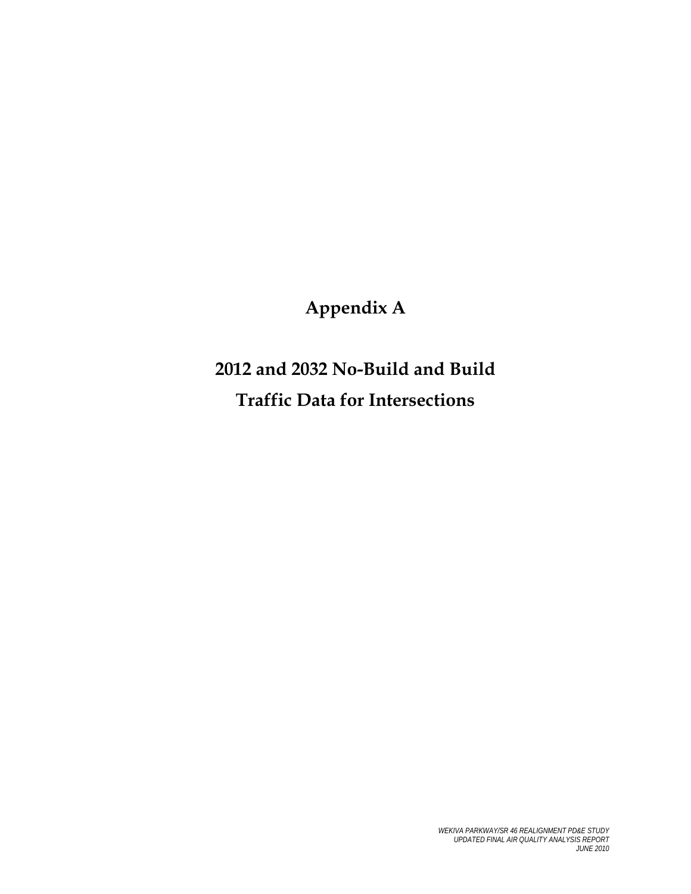# **Appendix A**

# **2012 and 2032 No-Build and Build Traffic Data for Intersections**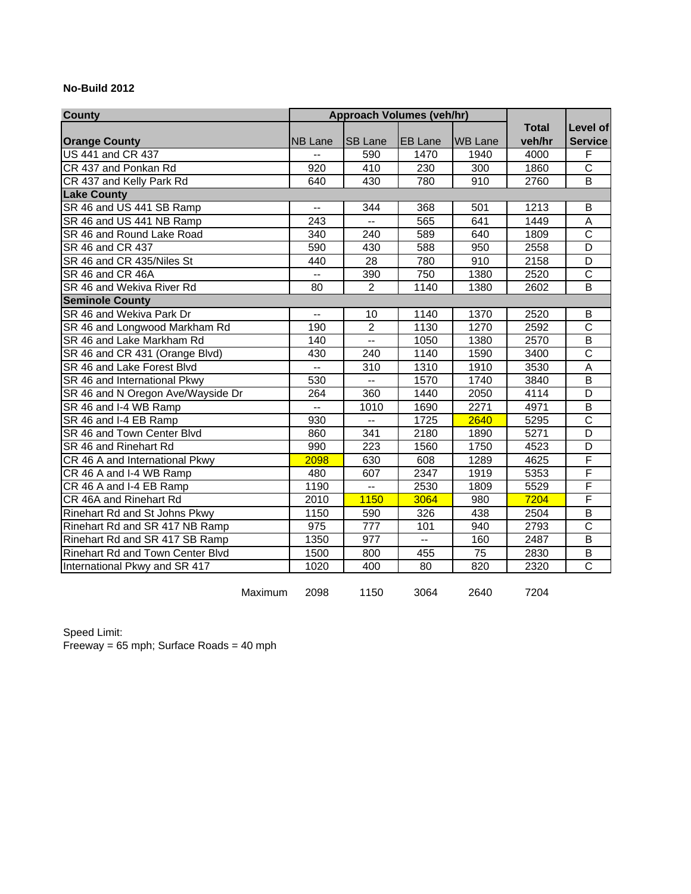#### **No-Build 2012**

| <b>County</b>                           |                          | <b>Approach Volumes (veh/hr)</b> |                |                |                          |                         |
|-----------------------------------------|--------------------------|----------------------------------|----------------|----------------|--------------------------|-------------------------|
|                                         |                          |                                  |                |                | <b>Total</b>             | Level of                |
| <b>Orange County</b>                    | <b>NB Lane</b>           | <b>SB Lane</b>                   | <b>EB</b> Lane | <b>WB Lane</b> | veh/hr                   | <b>Service</b>          |
| <b>US 441 and CR 437</b>                |                          | 590                              | 1470           | 1940           | 4000                     | F                       |
| CR 437 and Ponkan Rd                    | 920                      | 410                              | 230            | 300            | 1860                     | $\overline{\text{c}}$   |
| CR 437 and Kelly Park Rd                | 640                      | 430                              | 780            | 910            | 2760                     | $\overline{B}$          |
| <b>Lake County</b>                      |                          |                                  |                |                |                          |                         |
| SR 46 and US 441 SB Ramp                | $-$                      | 344                              | 368            | 501            | 1213                     | B                       |
| SR 46 and US 441 NB Ramp                | 243                      |                                  | 565            | 641            | 1449                     | A                       |
| SR 46 and Round Lake Road               | 340                      | 240                              | 589            | 640            | 1809                     | $\overline{\text{c}}$   |
| SR 46 and CR 437                        | 590                      | 430                              | 588            | 950            | 2558                     | D                       |
| SR 46 and CR 435/Niles St               | 440                      | 28                               | 780            | 910            | 2158                     | D                       |
| SR 46 and CR 46A                        | $\overline{\phantom{0}}$ | 390                              | 750            | 1380           | 2520                     | $\overline{\text{c}}$   |
| SR 46 and Wekiva River Rd               | 80                       | $\overline{2}$                   | 1140           | 1380           | 2602                     | B                       |
| <b>Seminole County</b>                  |                          |                                  |                |                |                          |                         |
| SR 46 and Wekiva Park Dr                | $\overline{a}$           | 10                               | 1140           | 1370           | 2520                     | В                       |
| SR 46 and Longwood Markham Rd           | 190                      | $\overline{2}$                   | 1130           | 1270           | 2592                     | $\overline{\text{c}}$   |
| SR 46 and Lake Markham Rd               | 140                      | $\overline{\phantom{a}}$         | 1050           | 1380           | 2570                     | $\overline{B}$          |
| SR 46 and CR 431 (Orange Blvd)          | 430                      | 240                              | 1140           | 1590           | 3400                     | $\overline{\text{c}}$   |
| SR 46 and Lake Forest Blvd              | $\overline{\phantom{a}}$ | 310                              | 1310           | 1910           | 3530                     | A                       |
| SR 46 and International Pkwy            | 530                      | $\overline{a}$                   | 1570           | 1740           | 3840                     | B                       |
| SR 46 and N Oregon Ave/Wayside Dr       | 264                      | 360                              | 1440           | 2050           | 4114                     | D                       |
| SR 46 and I-4 WB Ramp                   | $\overline{\phantom{a}}$ | 1010                             | 1690           | 2271           | 4971                     | B                       |
| SR 46 and I-4 EB Ramp                   | 930                      | Ш,                               | 1725           | 2640           | 5295                     | $\overline{\text{c}}$   |
| SR 46 and Town Center Blvd              | 860                      | 341                              | 2180           | 1890           | 5271                     | D                       |
| SR 46 and Rinehart Rd                   | 990                      | 223                              | 1560           | 1750           | 4523                     | $\overline{D}$          |
| CR 46 A and International Pkwy          | 2098                     | 630                              | 608            | 1289           | 4625                     | F                       |
| CR 46 A and I-4 WB Ramp                 | 480                      | 607                              | 2347           | 1919           | 5353                     | F                       |
| CR 46 A and I-4 EB Ramp                 | 1190                     | $\overline{a}$                   | 2530           | 1809           | 5529                     | $\overline{\mathsf{F}}$ |
| CR 46A and Rinehart Rd                  | 2010                     | 1150                             | 3064           | 980            | 7204                     | F                       |
| Rinehart Rd and St Johns Pkwy           | 1150                     | 590                              | 326            | 438            | 2504                     | $\overline{B}$          |
| Rinehart Rd and SR 417 NB Ramp          | 975                      | 777                              | 101            | 940            | 2793                     | $\overline{\text{c}}$   |
| Rinehart Rd and SR 417 SB Ramp          | 1350                     | 977                              | $-$            | 160            | 2487                     | $\overline{B}$          |
| <b>Rinehart Rd and Town Center Blvd</b> | 1500                     | 800                              | 455            | 75             | 2830                     | B                       |
| International Pkwy and SR 417           | 1020                     | 400                              | 80             | 820            | 2320                     | $\mathsf C$             |
|                                         | 0.000                    | $1.1 - 0.$                       | 0.001          |                | $\overline{\phantom{a}}$ |                         |

Maximum 2098 1150 3064 2640 7204

Speed Limit: Freeway = 65 mph; Surface Roads = 40 mph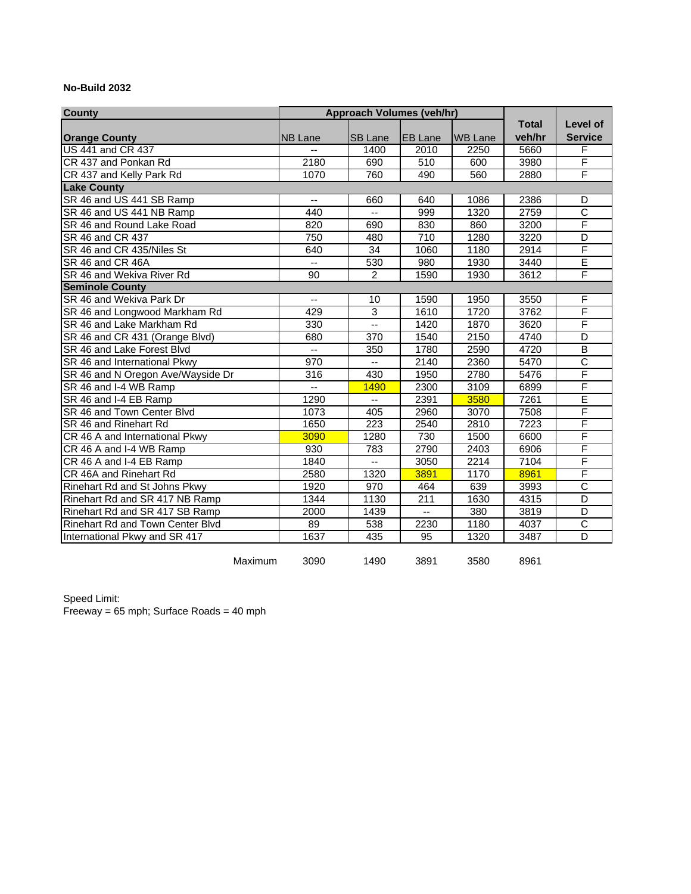#### **No-Build 2032**

| <b>County</b>                     | <b>Approach Volumes (veh/hr)</b> |                          |                          |                |                    |                         |
|-----------------------------------|----------------------------------|--------------------------|--------------------------|----------------|--------------------|-------------------------|
|                                   |                                  |                          |                          |                | <b>Total</b>       | Level of                |
| <b>Orange County</b>              | <b>NB Lane</b>                   | <b>SB Lane</b>           | <b>EB Lane</b>           | <b>WB Lane</b> | veh/hr             | <b>Service</b>          |
| <b>US 441 and CR 437</b>          |                                  | 1400                     | 2010                     | 2250           | 5660               | F                       |
| CR 437 and Ponkan Rd              | 2180                             | 690                      | 510                      | 600            | 3980               | F                       |
| CR 437 and Kelly Park Rd          | 1070                             | 760                      | 490                      | 560            | 2880               | F                       |
| <b>Lake County</b>                |                                  |                          |                          |                |                    |                         |
| SR 46 and US 441 SB Ramp          | $\overline{a}$                   | 660                      | 640                      | 1086           | 2386               | D                       |
| SR 46 and US 441 NB Ramp          | 440                              | $\overline{\phantom{a}}$ | 999                      | 1320           | 2759               | $\overline{\text{c}}$   |
| SR 46 and Round Lake Road         | 820                              | 690                      | 830                      | 860            | 3200               | $\overline{\mathsf{F}}$ |
| SR 46 and CR 437                  | 750                              | 480                      | 710                      | 1280           | 3220               | D                       |
| SR 46 and CR 435/Niles St         | 640                              | 34                       | 1060                     | 1180           | 2914               | F                       |
| SR 46 and CR 46A                  | $\overline{\phantom{a}}$         | 530                      | 980                      | 1930           | 3440               | Ē                       |
| SR 46 and Wekiva River Rd         | 90                               | $\overline{2}$           | 1590                     | 1930           | 3612               | F                       |
| <b>Seminole County</b>            |                                  |                          |                          |                |                    |                         |
| SR 46 and Wekiva Park Dr          | Ξ.                               | 10                       | 1590                     | 1950           | 3550               | F                       |
| SR 46 and Longwood Markham Rd     | 429                              | 3                        | 1610                     | 1720           | 3762               | F                       |
| SR 46 and Lake Markham Rd         | 330                              | u.                       | 1420                     | 1870           | $\overline{36}$ 20 | F                       |
| SR 46 and CR 431 (Orange Blvd)    | 680                              | 370                      | 1540                     | 2150           | 4740               | D                       |
| SR 46 and Lake Forest Blvd        | u.                               | 350                      | 1780                     | 2590           | $\overline{4720}$  | $\overline{\mathsf{B}}$ |
| SR 46 and International Pkwy      | $\overline{970}$                 | $\overline{\phantom{a}}$ | 2140                     | 2360           | 5470               | $\overline{\text{c}}$   |
| SR 46 and N Oregon Ave/Wayside Dr | 316                              | 430                      | 1950                     | 2780           | 5476               | F                       |
| SR 46 and I-4 WB Ramp             | u.                               | 1490                     | 2300                     | 3109           | 6899               | F                       |
| SR 46 and I-4 EB Ramp             | 1290                             | --                       | 2391                     | 3580           | 7261               | E                       |
| SR 46 and Town Center Blvd        | 1073                             | 405                      | 2960                     | 3070           | 7508               | F                       |
| SR 46 and Rinehart Rd             | 1650                             | 223                      | 2540                     | 2810           | 7223               | F                       |
| CR 46 A and International Pkwy    | 3090                             | 1280                     | 730                      | 1500           | 6600               | F                       |
| CR 46 A and I-4 WB Ramp           | 930                              | 783                      | 2790                     | 2403           | 6906               | $\overline{F}$          |
| CR 46 A and I-4 EB Ramp           | 1840                             | $\overline{a}$           | 3050                     | 2214           | 7104               | F                       |
| CR 46A and Rinehart Rd            | 2580                             | 1320                     | 3891                     | 1170           | 8961               | F                       |
| Rinehart Rd and St Johns Pkwy     | 1920                             | 970                      | 464                      | 639            | 3993               | $\overline{C}$          |
| Rinehart Rd and SR 417 NB Ramp    | 1344                             | 1130                     | $\overline{211}$         | 1630           | 4315               | $\overline{D}$          |
| Rinehart Rd and SR 417 SB Ramp    | 2000                             | 1439                     | $\overline{\phantom{a}}$ | 380            | 3819               | $\overline{D}$          |
| Rinehart Rd and Town Center Blvd  | 89                               | 538                      | 2230                     | 1180           | 4037               | $\overline{\text{c}}$   |
| International Pkwy and SR 417     | 1637                             | 435                      | 95                       | 1320           | 3487               | $\overline{D}$          |
| Maximum                           | 3090                             | 1490                     | 3891                     | 3580           | 8961               |                         |

Speed Limit: Freeway = 65 mph; Surface Roads = 40 mph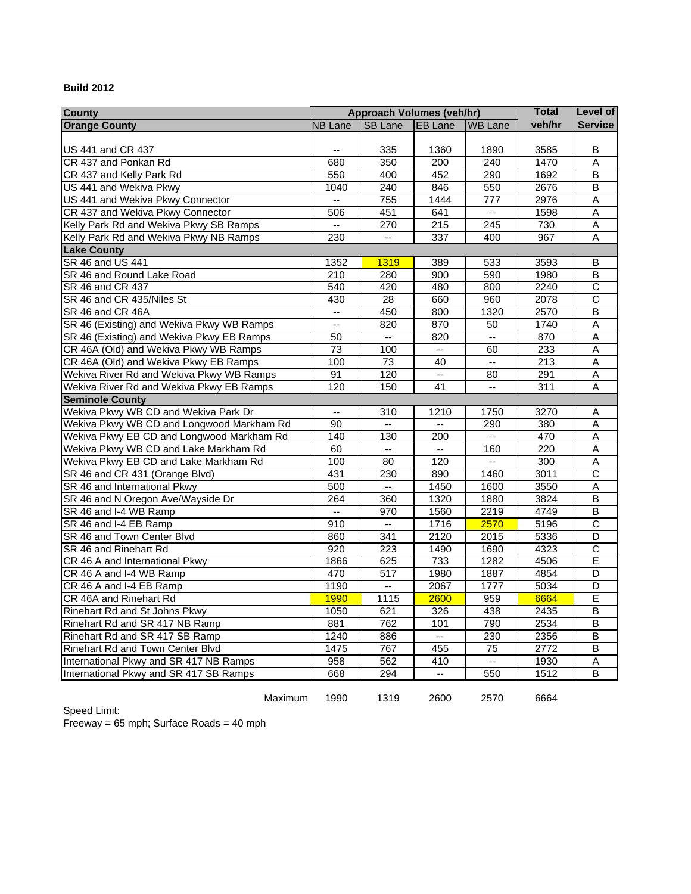#### **Build 2012**

| <b>County</b>                             | <b>Approach Volumes (veh/hr)</b> |                                               |                           |                          | <b>Total</b>     | <b>Level of</b>         |
|-------------------------------------------|----------------------------------|-----------------------------------------------|---------------------------|--------------------------|------------------|-------------------------|
| <b>Orange County</b>                      | <b>NB Lane</b>                   | <b>SB Lane</b>                                | <b>EB Lane</b>            | <b>WB Lane</b>           | veh/hr           | <b>Service</b>          |
|                                           |                                  |                                               |                           |                          |                  |                         |
| US 441 and CR 437                         |                                  | 335                                           | 1360                      | 1890                     | 3585             | B                       |
| CR 437 and Ponkan Rd                      | 680                              | 350                                           | 200                       | 240                      | 1470             | A                       |
| CR 437 and Kelly Park Rd                  | 550                              | 400                                           | 452                       | 290                      | 1692             | B                       |
| US 441 and Wekiva Pkwy                    | 1040                             | 240                                           | 846                       | 550                      | 2676             | $\overline{B}$          |
| US 441 and Wekiva Pkwy Connector          | $\mathbb{Z}^{\mathbb{Z}}$        | 755                                           | 1444                      | 777                      | 2976             | Α                       |
| CR 437 and Wekiva Pkwy Connector          | 506                              | 451                                           | 641                       | цú.                      | 1598             | Α                       |
| Kelly Park Rd and Wekiva Pkwy SB Ramps    | u.                               | 270                                           | $\overline{215}$          | $\overline{245}$         | 730              | $\overline{A}$          |
| Kelly Park Rd and Wekiva Pkwy NB Ramps    | 230                              | $\mathbf{u}$                                  | 337                       | 400                      | 967              | A                       |
| <b>Lake County</b>                        |                                  |                                               |                           |                          |                  |                         |
| SR 46 and US 441                          | 1352                             | <b>1319</b>                                   | 389                       | 533                      | 3593             | В                       |
| SR 46 and Round Lake Road                 | 210                              | 280                                           | 900                       | 590                      | 1980             | B                       |
| SR 46 and CR 437                          | 540                              | 420                                           | 480                       | 800                      | 2240             | $\overline{\text{c}}$   |
| SR 46 and CR 435/Niles St                 | 430                              | 28                                            | 660                       | 960                      | 2078             | $\overline{\text{c}}$   |
| SR 46 and CR 46A                          | u.                               | 450                                           | 800                       | 1320                     | 2570             | B                       |
| SR 46 (Existing) and Wekiva Pkwy WB Ramps | $\overline{\phantom{a}}$         | 820                                           | 870                       | 50                       | 1740             | Α                       |
| SR 46 (Existing) and Wekiva Pkwy EB Ramps | 50                               | u.                                            | 820                       | $\sim$                   | 870              | $\overline{A}$          |
| CR 46A (Old) and Wekiva Pkwy WB Ramps     | 73                               | 100                                           | $\mathbb{Z}^2$            | 60                       | 233              | $\overline{A}$          |
| CR 46A (Old) and Wekiva Pkwy EB Ramps     | 100                              | $\overline{73}$                               | 40                        | $\overline{\phantom{a}}$ | $\overline{213}$ | Α                       |
| Wekiva River Rd and Wekiva Pkwy WB Ramps  | 91                               | 120                                           | $\mathbb{Z}^{\mathbb{Z}}$ | 80                       | 291              | Α                       |
| Wekiva River Rd and Wekiva Pkwy EB Ramps  | 120                              | 150                                           | 41                        | цü                       | $\overline{311}$ | A                       |
| <b>Seminole County</b>                    |                                  |                                               |                           |                          |                  |                         |
| Wekiva Pkwy WB CD and Wekiva Park Dr      | $\overline{\phantom{a}}$         | 310                                           | 1210                      | 1750                     | 3270             | A                       |
| Wekiva Pkwy WB CD and Longwood Markham Rd | 90                               |                                               |                           | 290                      | 380              | A                       |
| Wekiva Pkwy EB CD and Longwood Markham Rd | 140                              | 130                                           | 200                       | $\mathbb{L} \mathbb{L}$  | 470              | $\overline{A}$          |
| Wekiva Pkwy WB CD and Lake Markham Rd     | 60                               | $\mathbf{L}$                                  | $\mathbb{L}^{\mathbb{L}}$ | 160                      | 220              | Α                       |
| Wekiva Pkwy EB CD and Lake Markham Rd     | 100                              | 80                                            | 120                       | u.                       | 300              | A                       |
| SR 46 and CR 431 (Orange Blvd)            | 431                              | 230                                           | 890                       | 1460                     | 3011             | $\overline{c}$          |
| SR 46 and International Pkwy              | 500                              | $\mathord{\hspace{1pt}\text{--}\hspace{1pt}}$ | 1450                      | 1600                     | 3550             | $\overline{A}$          |
| SR 46 and N Oregon Ave/Wayside Dr         | 264                              | 360                                           | 1320                      | 1880                     | 3824             | $\overline{B}$          |
| SR 46 and I-4 WB Ramp                     | $\overline{\phantom{a}}$         | 970                                           | 1560                      | 2219                     | 4749             | $\overline{B}$          |
| SR 46 and I-4 EB Ramp                     | 910                              | $\mathbb{Z}^{\mathbb{Z}}$                     | 1716                      | 2570                     | 5196             | $\overline{\text{c}}$   |
| SR 46 and Town Center Blvd                | 860                              | 341                                           | 2120                      | 2015                     | 5336             | D                       |
| SR 46 and Rinehart Rd                     | 920                              | 223                                           | 1490                      | 1690                     | 4323             | $\overline{\text{c}}$   |
| CR 46 A and International Pkwy            | 1866                             | 625                                           | 733                       | 1282                     | 4506             | E                       |
| CR 46 A and I-4 WB Ramp                   | 470                              | 517                                           | 1980                      | 1887                     | 4854             | $\overline{D}$          |
| CR 46 A and I-4 EB Ramp                   | 1190                             | u.                                            | 2067                      | 1777                     | 5034             | $\overline{\mathsf{D}}$ |
| CR 46A and Rinehart Rd                    | 1990                             | 1115                                          | 2600                      | 959                      | 6664             | E                       |
| Rinehart Rd and St Johns Pkwy             | 1050                             | 621                                           | 326                       | 438                      | 2435             | $\overline{\mathsf{B}}$ |
| Rinehart Rd and SR 417 NB Ramp            | 881                              | 762                                           | 101                       | 790                      | 2534             | $\overline{\mathsf{B}}$ |
| Rinehart Rd and SR 417 SB Ramp            | 1240                             | 886                                           | $\sim$                    | 230                      | 2356             | В                       |
| Rinehart Rd and Town Center Blvd          | 1475                             | 767                                           | 455                       | $\overline{75}$          | 2772             | $\overline{B}$          |
| International Pkwy and SR 417 NB Ramps    | 958                              | 562                                           | 410                       | Ξ.                       | 1930             | Α                       |
| International Pkwy and SR 417 SB Ramps    | 668                              | 294                                           | $\overline{a}$            | 550                      | 1512             | B                       |
|                                           |                                  |                                               |                           |                          |                  |                         |

Maximum 1990 1319 2600 2570 6664

Speed Limit:

Freeway = 65 mph; Surface Roads = 40 mph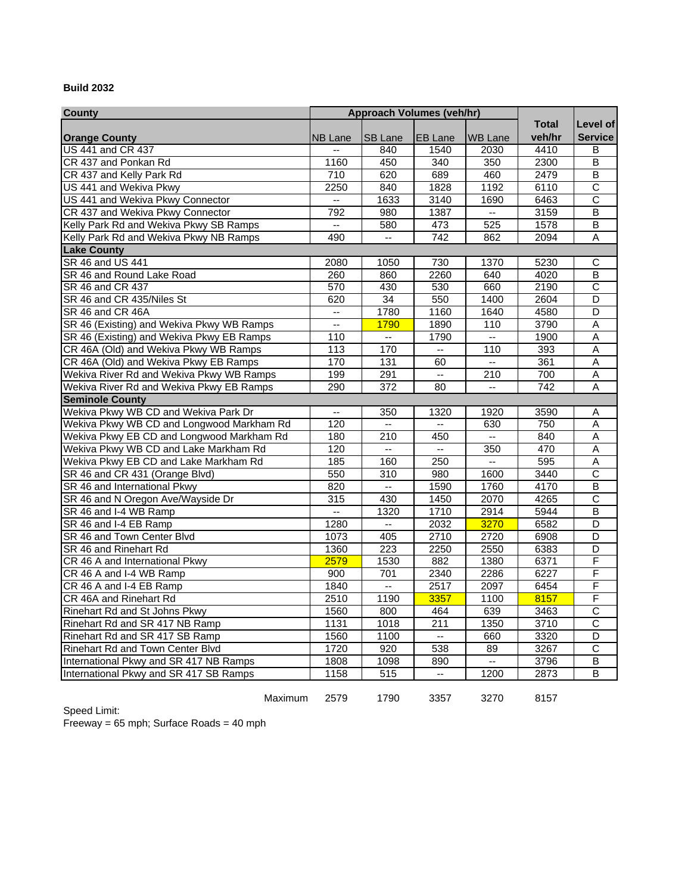#### **Build 2032**

| <b>County</b>                             | <b>Approach Volumes (veh/hr)</b> |                          |                          |                          |                  |                         |
|-------------------------------------------|----------------------------------|--------------------------|--------------------------|--------------------------|------------------|-------------------------|
|                                           |                                  |                          |                          |                          | <b>Total</b>     | Level of                |
| <b>Orange County</b>                      | <b>NB Lane</b>                   | <b>SB Lane</b>           | <b>EB</b> Lane           | <b>WB Lane</b>           | veh/hr           | <b>Service</b>          |
| <b>US 441 and CR 437</b>                  |                                  | 840                      | 1540                     | 2030                     | 4410             | В                       |
| CR 437 and Ponkan Rd                      | 1160                             | 450                      | 340                      | 350                      | 2300             | B                       |
| CR 437 and Kelly Park Rd                  | 710                              | 620                      | 689                      | 460                      | 2479             | B                       |
| US 441 and Wekiva Pkwy                    | 2250                             | 840                      | 1828                     | 1192                     | 6110             | $\overline{\text{c}}$   |
| US 441 and Wekiva Pkwy Connector          | uu.                              | 1633                     | 3140                     | 1690                     | 6463             | C                       |
| CR 437 and Wekiva Pkwy Connector          | 792                              | 980                      | 1387                     | $\overline{\phantom{a}}$ | 3159             | $\overline{\mathsf{B}}$ |
| Kelly Park Rd and Wekiva Pkwy SB Ramps    | u.                               | 580                      | 473                      | 525                      | 1578             | $\overline{\mathsf{B}}$ |
| Kelly Park Rd and Wekiva Pkwy NB Ramps    | 490                              | $\overline{a}$           | 742                      | 862                      | 2094             | Α                       |
| <b>Lake County</b>                        |                                  |                          |                          |                          |                  |                         |
| SR 46 and US 441                          | 2080                             | 1050                     | 730                      | 1370                     | 5230             | С                       |
| SR 46 and Round Lake Road                 | 260                              | 860                      | 2260                     | 640                      | 4020             | $\overline{B}$          |
| SR 46 and CR 437                          | 570                              | 430                      | 530                      | 660                      | 2190             | $\overline{\text{c}}$   |
| SR 46 and CR 435/Niles St                 | 620                              | 34                       | 550                      | 1400                     | 2604             | $\overline{D}$          |
| SR 46 and CR 46A                          | u.                               | 1780                     | 1160                     | 1640                     | 4580             | $\overline{D}$          |
| SR 46 (Existing) and Wekiva Pkwy WB Ramps | uu.                              | 1790                     | 1890                     | 110                      | 3790             | $\overline{A}$          |
| SR 46 (Existing) and Wekiva Pkwy EB Ramps | 110                              | $\mathbb{L}^2$           | 1790                     | $\overline{\phantom{a}}$ | 1900             | A                       |
| CR 46A (Old) and Wekiva Pkwy WB Ramps     | 113                              | 170                      | ÷.                       | 110                      | 393              | $\overline{A}$          |
| CR 46A (Old) and Wekiva Pkwy EB Ramps     | 170                              | $\frac{1}{131}$          | 60                       | $\mathbf{u}$             | 361              | $\overline{A}$          |
| Wekiva River Rd and Wekiva Pkwy WB Ramps  | 199                              | 291                      | ω.                       | 210                      | 700              | Α                       |
| Wekiva River Rd and Wekiva Pkwy EB Ramps  | 290                              | $\overline{372}$         | 80                       | $\overline{\phantom{a}}$ | $\overline{742}$ | Α                       |
| <b>Seminole County</b>                    |                                  |                          |                          |                          |                  |                         |
| Wekiva Pkwy WB CD and Wekiva Park Dr      | $\overline{\phantom{a}}$         | 350                      | 1320                     | 1920                     | 3590             | Α                       |
| Wekiva Pkwy WB CD and Longwood Markham Rd | 120                              | $\mathbf{u}$             | $\overline{\phantom{a}}$ | 630                      | 750              | Α                       |
| Wekiva Pkwy EB CD and Longwood Markham Rd | 180                              | 210                      | 450                      | цú.                      | 840              | $\overline{A}$          |
| Wekiva Pkwy WB CD and Lake Markham Rd     | 120                              | цü                       | $\overline{\phantom{a}}$ | 350                      | 470              | A                       |
| Wekiva Pkwy EB CD and Lake Markham Rd     | 185                              | 160                      | 250                      | ц.                       | 595              | A                       |
| SR 46 and CR 431 (Orange Blvd)            | 550                              | 310                      | 980                      | 1600                     | 3440             | $\overline{\text{c}}$   |
| SR 46 and International Pkwy              | 820                              | $\omega_{\rm{m}}$        | 1590                     | 1760                     | 4170             | $\overline{B}$          |
| SR 46 and N Oregon Ave/Wayside Dr         | 315                              | 430                      | 1450                     | 2070                     | 4265             | $\overline{\text{c}}$   |
| SR 46 and I-4 WB Ramp                     | $\mathbb{L}^{\mathbb{L}}$        | 1320                     | 1710                     | 2914                     | 5944             | $\overline{\mathsf{B}}$ |
| SR 46 and I-4 EB Ramp                     | 1280                             | $\overline{\phantom{a}}$ | 2032                     | 3270                     | 6582             | $\overline{\mathsf{D}}$ |
| SR 46 and Town Center Blvd                | 1073                             | 405                      | 2710                     | 2720                     | 6908             | D                       |
| SR 46 and Rinehart Rd                     | 1360                             | 223                      | 2250                     | 2550                     | 6383             | $\overline{D}$          |
| CR 46 A and International Pkwy            | 2579                             | 1530                     | 882                      | 1380                     | 6371             | $\overline{F}$          |
| CR 46 A and I-4 WB Ramp                   | 900                              | 701                      | 2340                     | 2286                     | 6227             | F                       |
| CR 46 A and I-4 EB Ramp                   | 1840                             | u.                       | 2517                     | 2097                     | 6454             | F                       |
| CR 46A and Rinehart Rd                    | 2510                             | 1190                     | 3357                     | 1100                     | 8157             | F                       |
| Rinehart Rd and St Johns Pkwy             | 1560                             | 800                      | 464                      | 639                      | 3463             | $\overline{\text{c}}$   |
| Rinehart Rd and SR 417 NB Ramp            | 1131                             | 1018                     | 211                      | 1350                     | 3710             | $\overline{C}$          |
| Rinehart Rd and SR 417 SB Ramp            | 1560                             | 1100                     | $\omega_{\rm{m}}$        | 660                      | 3320             | $\overline{D}$          |
| <b>Rinehart Rd and Town Center Blvd</b>   | 1720                             | 920                      | 538                      | 89                       | 3267             | $\overline{C}$          |
| International Pkwy and SR 417 NB Ramps    | 1808                             | 1098                     | 890                      | цú.                      | 3796             | B                       |
| International Pkwy and SR 417 SB Ramps    | 1158                             | 515                      | $\overline{\phantom{a}}$ | 1200                     | 2873             | B                       |
|                                           |                                  |                          |                          |                          |                  |                         |

Maximum 2579 1790 3357 3270 8157

Speed Limit: Freeway = 65 mph; Surface Roads = 40 mph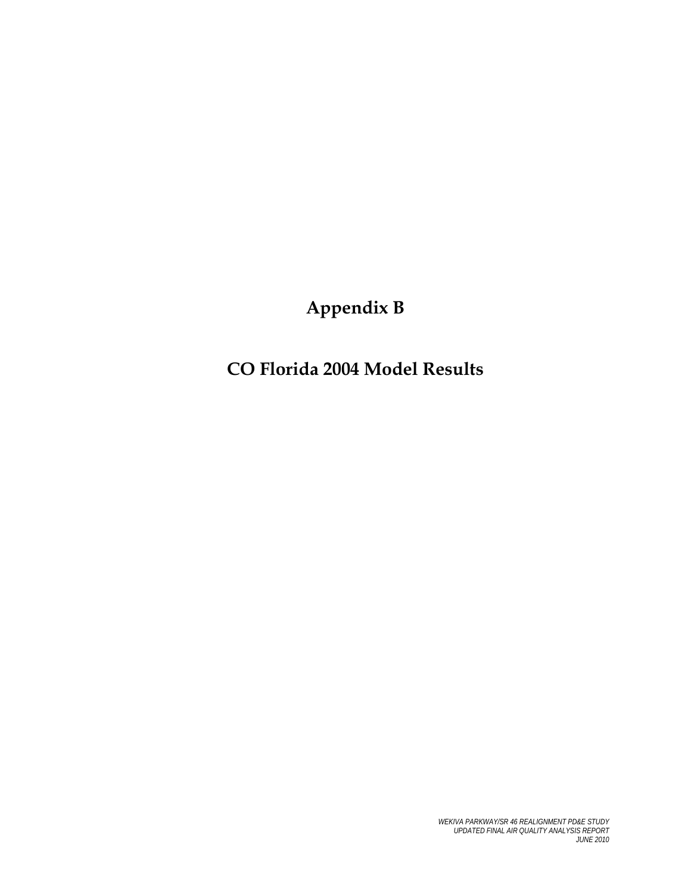**Appendix B** 

**CO Florida 2004 Model Results**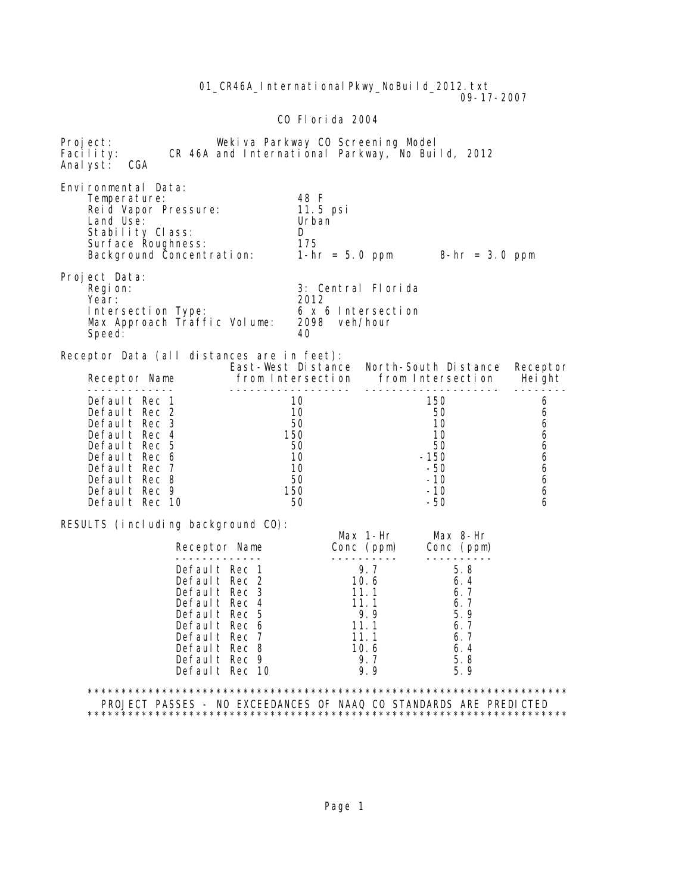01\_CR46A\_International Pkwy\_NoBuild\_2012.txt 09-17-2007 CO Florida 2004 Project: Wekiva Parkway CO Screening Model Facility: CR 46A and International Parkway, No Build, 2012 Analyst: CGA Environmental Data: Temperature: 48 F Reid Vapor Pressure: 11.5 psilonial values<br>Land Use: 11.5 per values Land Use: Stability Class: D Surface Roughness:<br>Background Concentration:  $1-hr = 5.0$  ppm  $8-hr = 3.0$  ppm Project Data:<br>Region: 3: Central Florida<br>2012 Year: 2012 Intersection Type: 6 x 6 Intersection<br>Max Approach Traffic Volume: 2098 veh/hour Max Approach Traffic Volume: 20<br>Speed: 40 Speed: Receptor Data (all distances are in feet): East-West Distance North-South Distance Receptor<br>Receptor Name from Intersection from Intersection Height Receptor Name from Intersection from Intersection Height ------------- ------------------ -------------------- ------- default Rec 1 10 150 6<br>Default Rec 2 10 10 50 6 Default Rec 2 10 50 6 Default Rec 3 50 10 6 Default Rec 4 150 10 6 Default Rec 5 50 50 50 6 Default Rec 6 10 -150 -150 6 Default Rec 7 10 -50 -50 6 0 Default Rec 8 50 -10 6<br>Default Rec 9 50 -10 6 0efault Rec 9 150 -10 6<br>Default Rec 10 50 -50 -50 6 Default Rec 10 RESULTS (including background CO): Max 1-Hr Max 8-Hr<br>Receptor Name Conc (ppm) Conc (ppm) Conc (ppm) ------------- ---------- ---------- Default Rec 1 9.7 5.8<br>Default Rec 2 10.6 6.4 Default Rec 2 10.6 6.4<br>Default Rec 3 11.1 6.7 Default Rec 3 11.1 6.7<br>Default Rec 4 11.1 6.7 0efault Rec 4 11.1 6.7<br>
Default Rec 5 9.9 5.9 Default Rec 5 9.9 5.9<br>Default Rec 6 11.1 6.7 **Default Rec 6 11.1 6.7 Default Rec 7 11.1 6.7** 01 Default Rec 8 10.6 6.4 and 10.6 6.4 befault Rec 9 3.7 5.8 Default Rec 9 9.7 5.8<br>Default Rec 10 9.9 5.9 Default Rec 10 \*\*\*\*\*\*\*\*\*\*\*\*\*\*\*\*\*\*\*\*\*\*\*\*\*\*\*\*\*\*\*\*\*\*\*\*\*\*\*\*\*\*\*\*\*\*\*\*\*\*\*\*\*\*\*\*\*\*\*\*\*\*\*\*\*\*\*\*\*\*\* PROJECT PASSES - NO EXCEEDANCES OF NAAQ CO STANDARDS ARE PREDICTED \*\*\*\*\*\*\*\*\*\*\*\*\*\*\*\*\*\*\*\*\*\*\*\*\*\*\*\*\*\*\*\*\*\*\*\*\*\*\*\*\*\*\*\*\*\*\*\*\*\*\*\*\*\*\*\*\*\*\*\*\*\*\*\*\*\*\*\*\*\*\*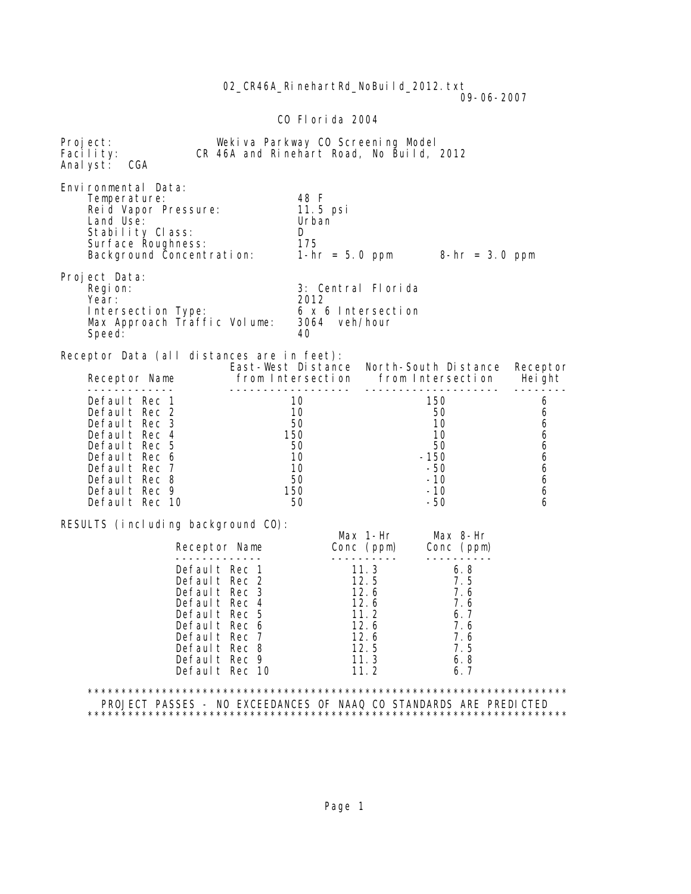CO Florida 2004 Project: Wekiva Parkway CO Screening Model<br>Facility: CR 46A and Rinehart Road, No Build, CR 46A and Rinehart Road, No Build, 2012 Analyst: CGA Environmental Data: Temperature: 48 F Reid Vapor Pressure: 11.5 psilonial values<br>Land Use: 11.5 per values Land Use: Stability Class: D Surface Roughness: 175 Background Concentration: 1-hr = 5.0 ppm 8-hr = 3.0 ppm Project Data:<br>Region: 3: Central Florida<br>2012 Year: 2012 Intersection Type: 6 x 6 Intersection<br>Max Approach Traffic Volume: 3064 veh/hour Max Approach Traffic Volume: 30<br>Speed: 40 Speed: Receptor Data (all distances are in feet): East-West Distance North-South Distance Receptor<br>Receptor Name from Intersection from Intersection Height Receptor Name from Intersection from Intersection Height ------------- ------------------ -------------------- -------- Default Rec 1 10 150 6<br>Default Rec 2 10 10 50 6 Default Rec 2 and 10 50 50 6 Default Rec 3 50 10 6 Default Rec 4 150 10 6 Default Rec 5 50 50 50 6 Default Rec 6 10 -150 6 Default Rec 7 10 -50 6 0 Default Rec 8 50 -10 6<br>Default Rec 9 50 -10 6 0efault Rec 9 150 -10 6<br>Default Rec 10 50 -50 -50 6 Default Rec 10 RESULTS (including background CO): Max 1-Hr Max 8-Hr<br>Receptor Name Conc (ppm) Conc (ppm)  $Cone (ppm)$   $Cone (ppm)$  ------------- ---------- ---------- Default Rec 1 11.3 6.8<br>Default Rec 2 12.5 7.5 Default Rec 2 12.5 7.5<br>Default Rec 3 12.6 7.6 Default Rec 3 12.6 7.6<br>Default Rec 4 12.6 7.6 0efault Rec 4 12.6 7.6<br>
Default Rec 5 11.2 6.7 **Default Rec 5 11.2 6.7**  Default Rec 6 12.6 7.6 **Default Rec 7 12.6 7.6** 001 Default Rec 6 12.6 7.6<br>
Default Rec 7 12.6 7.6<br>
Default Rec 8 12.5 7.5<br>
Default Rec 9 11.3 6.8 Default Rec 9 11.3 6.8<br>Default Rec 10 11.2 6.7 Default Rec 10 \*\*\*\*\*\*\*\*\*\*\*\*\*\*\*\*\*\*\*\*\*\*\*\*\*\*\*\*\*\*\*\*\*\*\*\*\*\*\*\*\*\*\*\*\*\*\*\*\*\*\*\*\*\*\*\*\*\*\*\*\*\*\*\*\*\*\*\*\*\*\* PROJECT PASSES - NO EXCEEDANCES OF NAAQ CO STANDARDS ARE PREDICTED \*\*\*\*\*\*\*\*\*\*\*\*\*\*\*\*\*\*\*\*\*\*\*\*\*\*\*\*\*\*\*\*\*\*\*\*\*\*\*\*\*\*\*\*\*\*\*\*\*\*\*\*\*\*\*\*\*\*\*\*\*\*\*\*\*\*\*\*\*\*\*

02 CR46A RinehartRd NoBuild 2012.txt

09-06-2007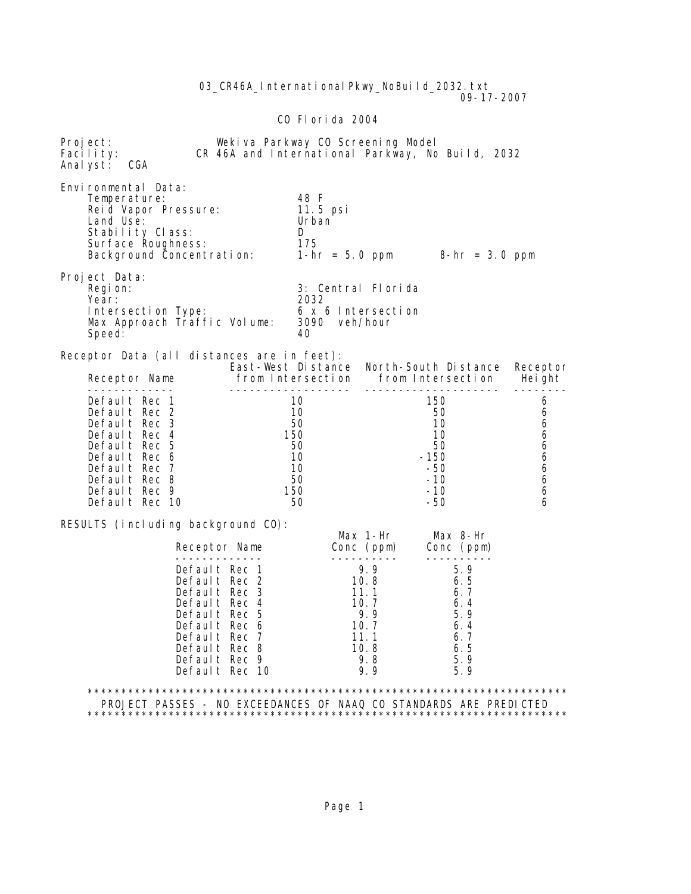03 CR46A International Pkwy NoBuild 2032.txt 09-17-2007 CO Florida 2004 Project: Wekiva Parkway CO Screening Model<br>Facility: CR 46A and International Parkway, No CR 46A and International Parkway, No Build, 2032 Analyst: CGA Environmental Data: Temperature: 48 F Reid Vapor Pressure: 11.5 psilonial values<br>Land Use: 11.5 per values Land Use: Stability Class: D Surface Roughness: 175 Background Concentration: 1-hr = 5.0 ppm 8-hr = 3.0 ppm Project Data:<br>Region: 3: Central Florida<br>2032 Year: 2032 Intersection Type: 6 x 6 Intersection<br>Max Approach Traffic Volume: 3090 veh/hour Max Approach Traffic Volume: 309<br>Speed: 40 Speed: Receptor Data (all distances are in feet): East-West Distance North-South Distance Receptor<br>Receptor Name from Intersection from Intersection Height Receptor Name from Intersection from Intersection Height ------------- ------------------ -------------------- ------- default Rec 1 10 150 6<br>Default Rec 2 10 10 50 6 Default Rec 2 10 50 6 Default Rec 3 50 10 6 Default Rec 4 150 10 6 Default Rec 5 50 50 50 6 Default Rec 6 10 -150 -150 6 Default Rec 7 10 -50 -50 6 0 Default Rec 8 50 -10 6<br>Default Rec 9 50 -10 6 0efault Rec 9 150 -10 6<br>Default Rec 10 50 -50 -50 6 Default Rec 10 RESULTS (including background CO): Max 1-Hr Max 8-Hr<br>Receptor Name Conc (ppm) Conc (ppm)  $Cone (ppm)$  ------------- ---------- ---------- 0efault Rec 1 9.9 5.9<br>
Default Rec 2 10.8 6.5 0efault Rec 2 10.8 6.5<br>
0efault Rec 3 11.1 6.7 Default Rec 3 11.1 6.7<br>Default Rec 4 10.7 6.4 Default Rec 4 10.7 6.4<br>Default Rec 5 9.9 5.9 Default Rec 5 9.9 5.9<br>Default Rec 6 9.7 6.4 **Default Rec 6 10.7 6.4 Default Rec 7 11.1 6.7** 0 Default Rec 8 10.8 6.5<br>
Default Rec 9 9.8 5.9 Default Rec 9 9.8 5.9<br>Default Rec 10 9.9 5.9 Default Rec 10 \*\*\*\*\*\*\*\*\*\*\*\*\*\*\*\*\*\*\*\*\*\*\*\*\*\*\*\*\*\*\*\*\*\*\*\*\*\*\*\*\*\*\*\*\*\*\*\*\*\*\*\*\*\*\*\*\*\*\*\*\*\*\*\*\*\*\*\*\*\*\* PROJECT PASSES - NO EXCEEDANCES OF NAAQ CO STANDARDS ARE PREDICTED \*\*\*\*\*\*\*\*\*\*\*\*\*\*\*\*\*\*\*\*\*\*\*\*\*\*\*\*\*\*\*\*\*\*\*\*\*\*\*\*\*\*\*\*\*\*\*\*\*\*\*\*\*\*\*\*\*\*\*\*\*\*\*\*\*\*\*\*\*\*\*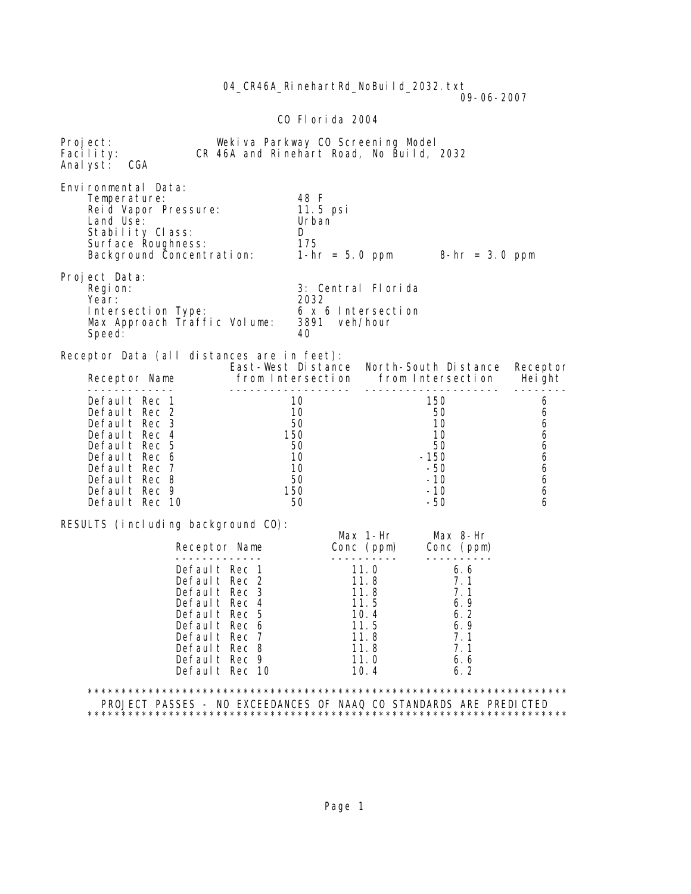04 CR46A RinehartRd NoBuild 2032.txt 09-06-2007 CO Florida 2004 Project: Wekiva Parkway CO Screening Model<br>Facility: CR 46A and Rinehart Road, No Build, CR 46A and Rinehart Road, No Build, 2032 Analyst: CGA Environmental Data: Temperature: 48 F Reid Vapor Pressure: 11.5 psilonial values<br>Land Use: 11.5 per values Land Use: Stability Class: D Surface Roughness: 175 Background Concentration: 1-hr = 5.0 ppm 8-hr = 3.0 ppm Project Data:<br>Region: 3: Central Florida<br>2032 Year: 2032 Intersection Type: 6 x 6 Intersection<br>Max Approach Traffic Volume: 3891 veh/hour Max Approach Traffic Volume: 389<br>Speed: 40 Speed: Receptor Data (all distances are in feet): East-West Distance North-South Distance Receptor<br>Receptor Name from Intersection from Intersection Height Receptor Name from Intersection from Intersection Height ------------- ------------------ -------------------- -------- Default Rec 1 10 150 6<br>Default Rec 2 10 10 50 6 Default Rec 2 and 10 50 50 6 Default Rec 3 50 10 6 Default Rec 4 150 10 6 Default Rec 5 50 50 50 6 Default Rec 6 10 -150 6 Default Rec 7 10 -50 6 0 Default Rec 8 50 -10 6<br>Default Rec 9 50 -10 6 0efault Rec 9 150 -10 6<br>Default Rec 10 50 -50 -50 6 Default Rec 10 RESULTS (including background CO): Max 1-Hr Max 8-Hr<br>Receptor Name Conc (ppm) Conc (ppm) Receptor Name Conc (ppm) Conc (ppm) ------------- ---------- ---------- 0efault Rec 1 11.0 6.6<br>
Default Rec 2 11.8 7.1 0efault Rec 2 11.8 7.1<br>
Default Rec 3 11.8 7.1 Default Rec 3 11.8 7.1<br>Default Rec 4 11.5 6.9 0efault Rec 4 11.5 6.9<br>
0efault Rec 5 10.4 6.2 Default Rec 5 10.4 6.2 Default Rec 6 11.5 6.9 Default Rec 7 11.8 7.1 09 Default Rec 6 11.5 6.9<br>
Default Rec 7 11.8 7.1<br>
Default Rec 8 11.8 7.1<br>
Default Rec 9 11.0 6.6 0efault Rec 9 11.0 6.6<br>
Default Rec 10 10.4 6.2 Default Rec 10 10.4 6.2 \*\*\*\*\*\*\*\*\*\*\*\*\*\*\*\*\*\*\*\*\*\*\*\*\*\*\*\*\*\*\*\*\*\*\*\*\*\*\*\*\*\*\*\*\*\*\*\*\*\*\*\*\*\*\*\*\*\*\*\*\*\*\*\*\*\*\*\*\*\*\* PROJECT PASSES - NO EXCEEDANCES OF NAAQ CO STANDARDS ARE PREDICTED \*\*\*\*\*\*\*\*\*\*\*\*\*\*\*\*\*\*\*\*\*\*\*\*\*\*\*\*\*\*\*\*\*\*\*\*\*\*\*\*\*\*\*\*\*\*\*\*\*\*\*\*\*\*\*\*\*\*\*\*\*\*\*\*\*\*\*\*\*\*\*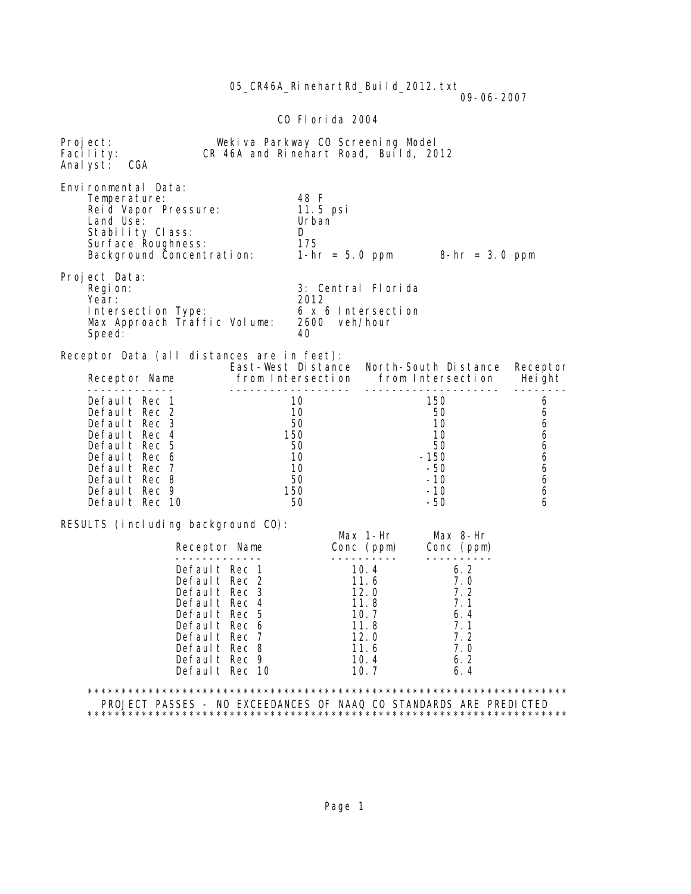05\_CR46A\_RinehartRd\_Build\_2012.txt

 $09-06-2007$ 

### CO Florida 2004

| Project:<br>Facility:<br>Anal yst:                                 | CGA                                                                                                                                                                               | Weki va Parkway CO Screening Model<br>CR 46A and Rinehart Road, Build, 2012                                                                                             |                                                            |                                                                              |                                                                         |                                                |  |
|--------------------------------------------------------------------|-----------------------------------------------------------------------------------------------------------------------------------------------------------------------------------|-------------------------------------------------------------------------------------------------------------------------------------------------------------------------|------------------------------------------------------------|------------------------------------------------------------------------------|-------------------------------------------------------------------------|------------------------------------------------|--|
|                                                                    | Environmental Data:<br>Temperature:<br>Reid Vapor Pressure:<br>Land Use:<br>Stability Class:<br>Surface Roughness:<br>Background Concentration: $1-hr = 5.0$ ppm $8-hr = 3.0$ ppm |                                                                                                                                                                         | 48 F<br>11.5 psi<br>Urban<br>D<br>175                      |                                                                              |                                                                         |                                                |  |
|                                                                    | Project Data:<br>Regi on:<br>Year:<br>Intersection Type:<br>Max Approach Traffic Volume:<br>Speed:                                                                                |                                                                                                                                                                         | 2012<br>2600 veh/hour<br>40                                | 3: Central Florida<br>6 x 6 Intersection                                     |                                                                         |                                                |  |
|                                                                    | Receptor Data (all distances are in feet):                                                                                                                                        |                                                                                                                                                                         |                                                            |                                                                              | East-West Distance North-South Distance                                 | Receptor                                       |  |
|                                                                    | Receptor Name                                                                                                                                                                     | -------------------                                                                                                                                                     |                                                            |                                                                              | from Intersection from Intersection Height<br>---------------------     | - - - - - -                                    |  |
|                                                                    | Default Rec 1<br>Default Rec 2<br>Default Rec 3<br>Default Rec 4<br>Default Rec 5<br>Default Rec 6<br>Default Rec 7<br>Default Rec 8<br>Default Rec 9<br>Default Rec 10           |                                                                                                                                                                         | 10<br>10<br>50<br>150<br>50<br>10<br>10<br>50<br>150<br>50 |                                                                              | 150<br>50<br>10<br>10<br>50<br>$-150$<br>-50<br>$-10$<br>$-10$<br>$-50$ | 6<br>6<br>6<br>6<br>6<br>6<br>6<br>6<br>6<br>6 |  |
|                                                                    | RESULTS (including background CO):                                                                                                                                                |                                                                                                                                                                         |                                                            |                                                                              |                                                                         |                                                |  |
|                                                                    |                                                                                                                                                                                   | Receptor Name                                                                                                                                                           |                                                            | Max 1-Hr<br>Conc (ppm)                                                       | Max 8-Hr<br>Conc (ppm)                                                  |                                                |  |
|                                                                    |                                                                                                                                                                                   | Default Rec 1<br>Default Rec 2<br>Default Rec 3<br>Default Rec 4<br>Default Rec 5<br>Default Rec 6<br>Default Rec 7<br>Default Rec 8<br>Default Rec 9<br>Default Rec 10 |                                                            | 10.4<br>11.6<br>12.0<br>11.8<br>10.7<br>11.8<br>12.0<br>11.6<br>10.4<br>10.7 | 6.2<br>7.0<br>7.2<br>7.1<br>6.4<br>7.1<br>7.2<br>7.0<br>6.2<br>6.4      |                                                |  |
| PROJECT PASSES - NO EXCEEDANCES OF NAAQ CO STANDARDS ARE PREDICTED |                                                                                                                                                                                   |                                                                                                                                                                         |                                                            |                                                                              |                                                                         |                                                |  |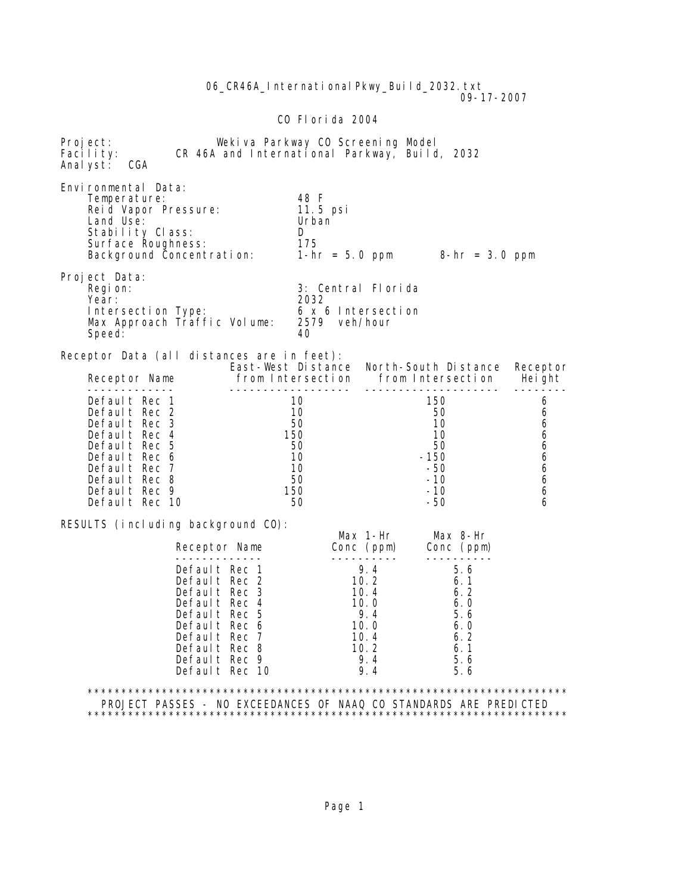06 CR46A International Pkwy Build 2032.txt 09-17-2007 CO Florida 2004 Project: Wekiva Parkway CO Screening Model<br>Facility: CR 46A and International Parkway, Build CR 46A and International Parkway, Build, 2032 Analyst: CGA Environmental Data: Temperature: 48 F Reid Vapor Pressure: 11.5 psilonial values<br>Land Use: 11.5 per values Land Use: Stability Class: D Surface Roughness: 175 Background Concentration: 1-hr = 5.0 ppm 8-hr = 3.0 ppm Project Data:<br>Region: 3: Central Florida<br>2032 Year: 2032 Intersection Type: 6 x 6 Intersection<br>Max Approach Traffic Volume: 2579 veh/hour Max Approach Traffic Volume: 25<br>Speed: 40 Speed: Receptor Data (all distances are in feet): East-West Distance North-South Distance Receptor<br>Receptor Name from Intersection from Intersection Height Receptor Name from Intersection from Intersection Height ------------- ------------------ -------------------- ------- default Rec 1 10 150 6<br>Default Rec 2 10 10 50 6 Default Rec 2 and 10 50 50 6 Default Rec 3 50 10 6 Default Rec 4 150 10 6 Default Rec 5 50 50 50 6 Default Rec 6 10 -150 6 Default Rec 7 10 -50 6 0 Default Rec 8 50 -10 6<br>Default Rec 9 50 -10 -10 6 0efault Rec 9 150 -10 6<br>Default Rec 10 50 -50 -50 6 Default Rec 10 RESULTS (including background CO): Max 1-Hr Max 8-Hr Conc (ppm) ------------- ---------- ---------- 0efault Rec 1 9.4 5.6<br>
Default Rec 2 10.2 6.1<br>
Default Rec 3 10.4 6.2 Default Rec 2 Default Rec 3 10.4 6.2<br>Default Rec 4 10.0 6.0 0efault Rec 4 10.0 6.0<br>
0efault Rec 5 9.4 5.6 Default Rec 5 9.4 5.6 Default Rec 6 10.0 6.0 Default Rec 7 10.4 6.2 09 Default Rec 8 10.2 6.1 Default Rec 9 9.4 5.6<br>Default Rec 10 9.4 5.6 Default Rec 10 \*\*\*\*\*\*\*\*\*\*\*\*\*\*\*\*\*\*\*\*\*\*\*\*\*\*\*\*\*\*\*\*\*\*\*\*\*\*\*\*\*\*\*\*\*\*\*\*\*\*\*\*\*\*\*\*\*\*\*\*\*\*\*\*\*\*\*\*\*\*\* PROJECT PASSES - NO EXCEEDANCES OF NAAQ CO STANDARDS ARE PREDICTED \*\*\*\*\*\*\*\*\*\*\*\*\*\*\*\*\*\*\*\*\*\*\*\*\*\*\*\*\*\*\*\*\*\*\*\*\*\*\*\*\*\*\*\*\*\*\*\*\*\*\*\*\*\*\*\*\*\*\*\*\*\*\*\*\*\*\*\*\*\*\*